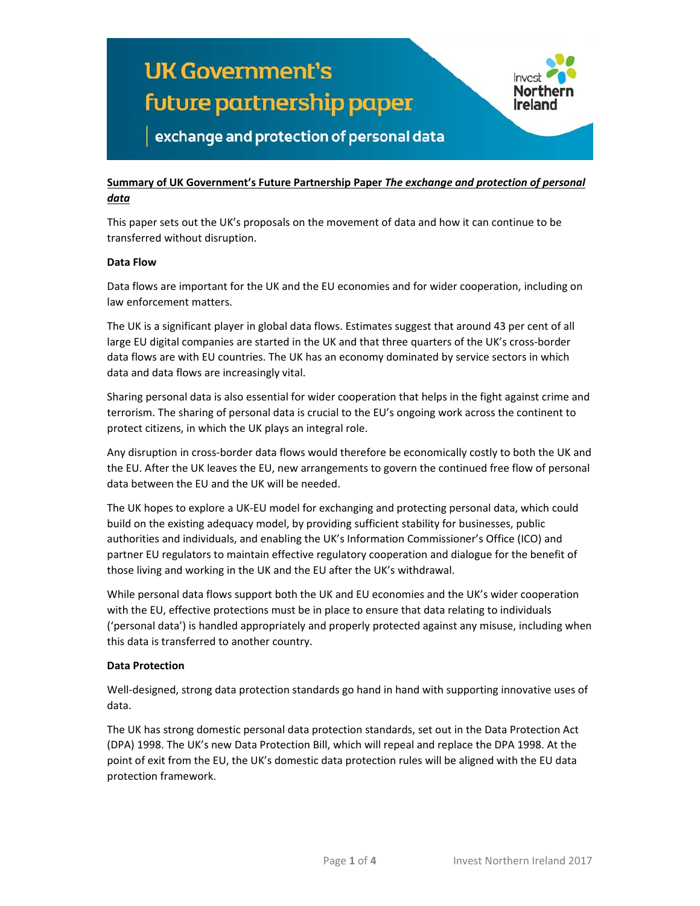

#### **Summary of UK Government's Future Partnership Paper** *The exchange and protection of personal data*

This paper sets out the UK's proposals on the movement of data and how it can continue to be transferred without disruption.

#### **Data Flow**

Data flows are important for the UK and the EU economies and for wider cooperation, including on law enforcement matters.

The UK is a significant player in global data flows. Estimates suggest that around 43 per cent of all large EU digital companies are started in the UK and that three quarters of the UK's cross‐border data flows are with EU countries. The UK has an economy dominated by service sectors in which data and data flows are increasingly vital.

Sharing personal data is also essential for wider cooperation that helps in the fight against crime and terrorism. The sharing of personal data is crucial to the EU's ongoing work across the continent to protect citizens, in which the UK plays an integral role.

Any disruption in cross‐border data flows would therefore be economically costly to both the UK and the EU. After the UK leaves the EU, new arrangements to govern the continued free flow of personal data between the EU and the UK will be needed.

The UK hopes to explore a UK‐EU model for exchanging and protecting personal data, which could build on the existing adequacy model, by providing sufficient stability for businesses, public authorities and individuals, and enabling the UK's Information Commissioner's Office (ICO) and partner EU regulators to maintain effective regulatory cooperation and dialogue for the benefit of those living and working in the UK and the EU after the UK's withdrawal.

While personal data flows support both the UK and EU economies and the UK's wider cooperation with the EU, effective protections must be in place to ensure that data relating to individuals ('personal data') is handled appropriately and properly protected against any misuse, including when this data is transferred to another country.

#### **Data Protection**

Well-designed, strong data protection standards go hand in hand with supporting innovative uses of data.

The UK has strong domestic personal data protection standards, set out in the Data Protection Act (DPA) 1998. The UK's new Data Protection Bill, which will repeal and replace the DPA 1998. At the point of exit from the EU, the UK's domestic data protection rules will be aligned with the EU data protection framework.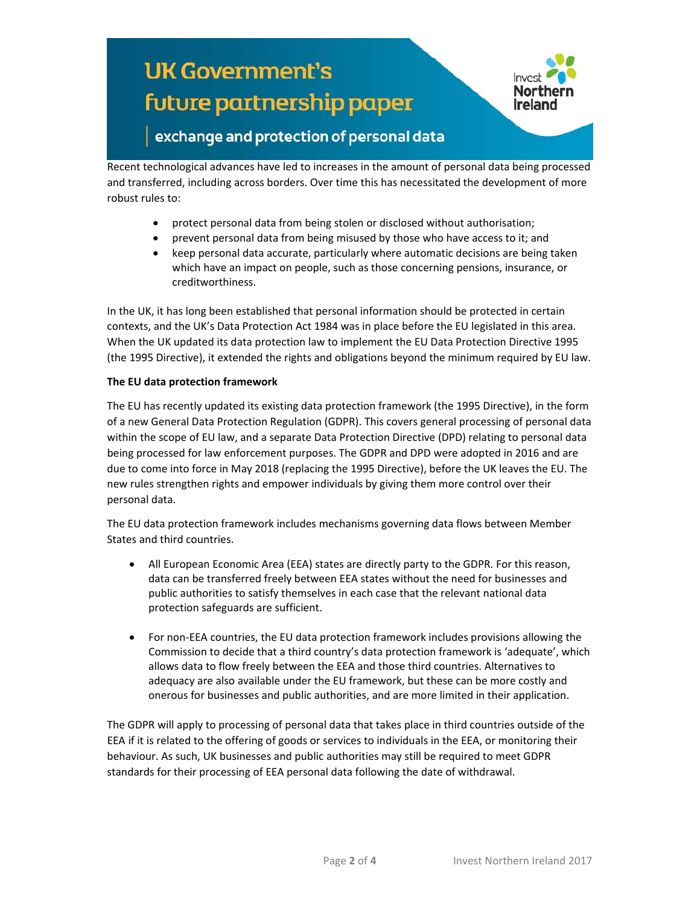## **UK Government's** future partnership paper



### exchange and protection of personal data

Recent technological advances have led to increases in the amount of personal data being processed and transferred, including across borders. Over time this has necessitated the development of more robust rules to:

- protect personal data from being stolen or disclosed without authorisation;
- prevent personal data from being misused by those who have access to it; and
- keep personal data accurate, particularly where automatic decisions are being taken which have an impact on people, such as those concerning pensions, insurance, or creditworthiness.

In the UK, it has long been established that personal information should be protected in certain contexts, and the UK's Data Protection Act 1984 was in place before the EU legislated in this area. When the UK updated its data protection law to implement the EU Data Protection Directive 1995 (the 1995 Directive), it extended the rights and obligations beyond the minimum required by EU law.

#### **The EU data protection framework**

The EU has recently updated its existing data protection framework (the 1995 Directive), in the form of a new General Data Protection Regulation (GDPR). This covers general processing of personal data within the scope of EU law, and a separate Data Protection Directive (DPD) relating to personal data being processed for law enforcement purposes. The GDPR and DPD were adopted in 2016 and are due to come into force in May 2018 (replacing the 1995 Directive), before the UK leaves the EU. The new rules strengthen rights and empower individuals by giving them more control over their personal data.

The EU data protection framework includes mechanisms governing data flows between Member States and third countries.

- All European Economic Area (EEA) states are directly party to the GDPR. For this reason, data can be transferred freely between EEA states without the need for businesses and public authorities to satisfy themselves in each case that the relevant national data protection safeguards are sufficient.
- For non‐EEA countries, the EU data protection framework includes provisions allowing the Commission to decide that a third country's data protection framework is 'adequate', which allows data to flow freely between the EEA and those third countries. Alternatives to adequacy are also available under the EU framework, but these can be more costly and onerous for businesses and public authorities, and are more limited in their application.

The GDPR will apply to processing of personal data that takes place in third countries outside of the EEA if it is related to the offering of goods or services to individuals in the EEA, or monitoring their behaviour. As such, UK businesses and public authorities may still be required to meet GDPR standards for their processing of EEA personal data following the date of withdrawal.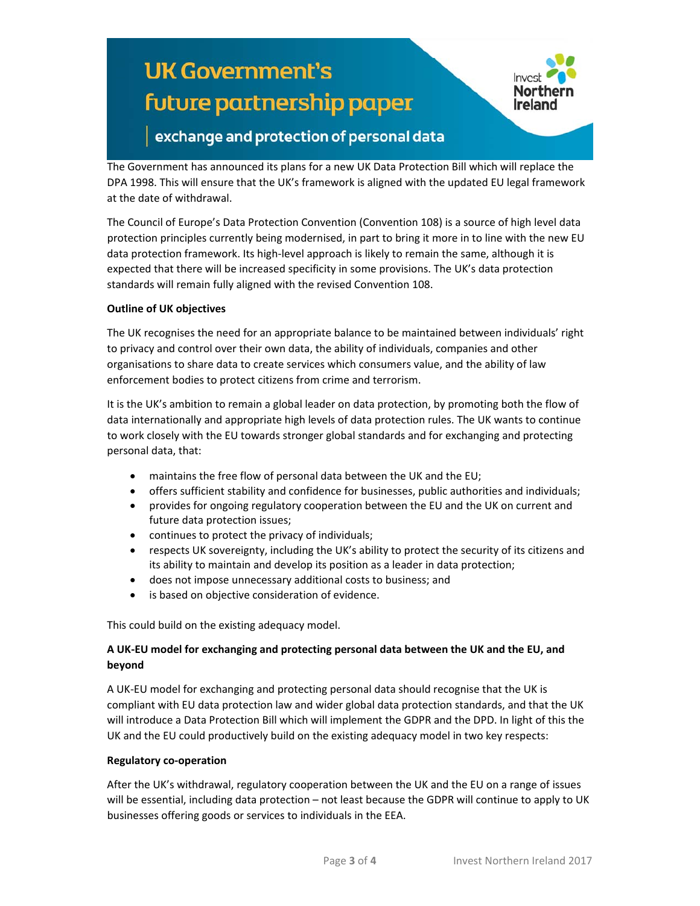# **UK Government's** future partnership paper



### exchange and protection of personal data

The Government has announced its plans for a new UK Data Protection Bill which will replace the DPA 1998. This will ensure that the UK's framework is aligned with the updated EU legal framework at the date of withdrawal.

The Council of Europe's Data Protection Convention (Convention 108) is a source of high level data protection principles currently being modernised, in part to bring it more in to line with the new EU data protection framework. Its high‐level approach is likely to remain the same, although it is expected that there will be increased specificity in some provisions. The UK's data protection standards will remain fully aligned with the revised Convention 108.

#### **Outline of UK objectives**

The UK recognises the need for an appropriate balance to be maintained between individuals' right to privacy and control over their own data, the ability of individuals, companies and other organisations to share data to create services which consumers value, and the ability of law enforcement bodies to protect citizens from crime and terrorism.

It is the UK's ambition to remain a global leader on data protection, by promoting both the flow of data internationally and appropriate high levels of data protection rules. The UK wants to continue to work closely with the EU towards stronger global standards and for exchanging and protecting personal data, that:

- maintains the free flow of personal data between the UK and the EU;
- offers sufficient stability and confidence for businesses, public authorities and individuals;
- provides for ongoing regulatory cooperation between the EU and the UK on current and future data protection issues;
- continues to protect the privacy of individuals;
- respects UK sovereignty, including the UK's ability to protect the security of its citizens and its ability to maintain and develop its position as a leader in data protection;
- does not impose unnecessary additional costs to business; and
- is based on objective consideration of evidence.

This could build on the existing adequacy model.

#### **A UK‐EU model for exchanging and protecting personal data between the UK and the EU, and beyond**

A UK‐EU model for exchanging and protecting personal data should recognise that the UK is compliant with EU data protection law and wider global data protection standards, and that the UK will introduce a Data Protection Bill which will implement the GDPR and the DPD. In light of this the UK and the EU could productively build on the existing adequacy model in two key respects:

#### **Regulatory co‐operation**

After the UK's withdrawal, regulatory cooperation between the UK and the EU on a range of issues will be essential, including data protection – not least because the GDPR will continue to apply to UK businesses offering goods or services to individuals in the EEA.